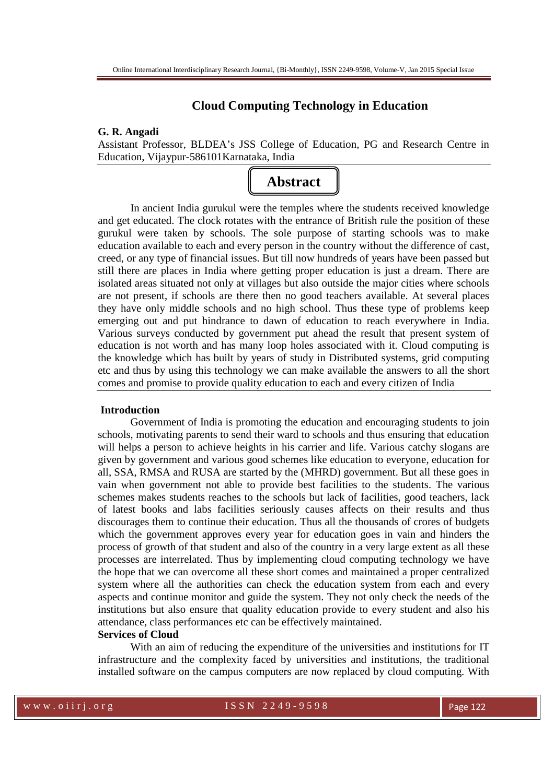# **Cloud Computing Technology in Education**

## **G. R. Angadi**

Assistant Professor, BLDEA's JSS College of Education, PG and Research Centre in Education, Vijaypur-586101Karnataka, India



In ancient India gurukul were the temples where the students received knowledge and get educated. The clock rotates with the entrance of British rule the position of these gurukul were taken by schools. The sole purpose of starting schools was to make education available to each and every person in the country without the difference of cast, creed, or any type of financial issues. But till now hundreds of years have been passed but still there are places in India where getting proper education is just a dream. There are isolated areas situated not only at villages but also outside the major cities where schools are not present, if schools are there then no good teachers available. At several places they have only middle schools and no high school. Thus these type of problems keep emerging out and put hindrance to dawn of education to reach everywhere in India. Various surveys conducted by government put ahead the result that present system of education is not worth and has many loop holes associated with it. Cloud computing is the knowledge which has built by years of study in Distributed systems, grid computing etc and thus by using this technology we can make available the answers to all the short comes and promise to provide quality education to each and every citizen of India

### **Introduction**

Government of India is promoting the education and encouraging students to join schools, motivating parents to send their ward to schools and thus ensuring that education will helps a person to achieve heights in his carrier and life. Various catchy slogans are given by government and various good schemes like education to everyone, education for all, SSA, RMSA and RUSA are started by the (MHRD) government. But all these goes in vain when government not able to provide best facilities to the students. The various schemes makes students reaches to the schools but lack of facilities, good teachers, lack of latest books and labs facilities seriously causes affects on their results and thus discourages them to continue their education. Thus all the thousands of crores of budgets which the government approves every year for education goes in vain and hinders the process of growth of that student and also of the country in a very large extent as all these processes are interrelated. Thus by implementing cloud computing technology we have the hope that we can overcome all these short comes and maintained a proper centralized system where all the authorities can check the education system from each and every aspects and continue monitor and guide the system. They not only check the needs of the institutions but also ensure that quality education provide to every student and also his attendance, class performances etc can be effectively maintained.

## **Services of Cloud**

With an aim of reducing the expenditure of the universities and institutions for IT infrastructure and the complexity faced by universities and institutions, the traditional installed software on the campus computers are now replaced by cloud computing. With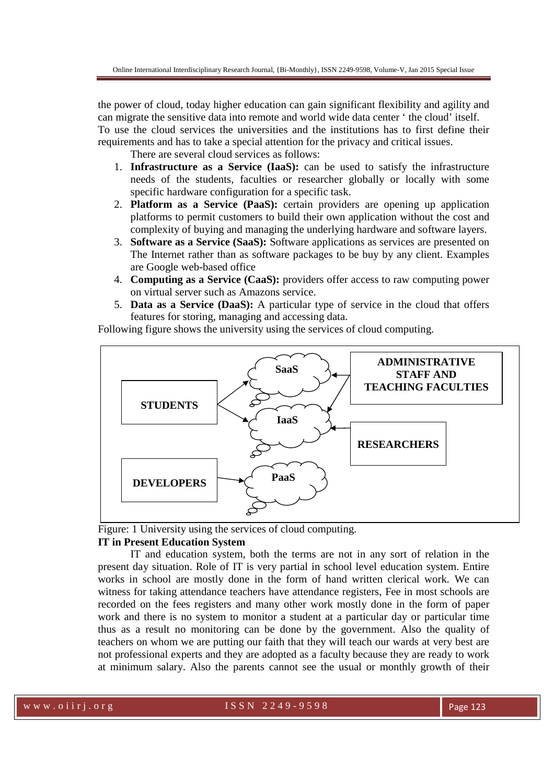the power of cloud, today higher education can gain significant flexibility and agility and can migrate the sensitive data into remote and world wide data center ' the cloud' itself. To use the cloud services the universities and the institutions has to first define their requirements and has to take a special attention for the privacy and critical issues.

There are several cloud services as follows:

- 1. **Infrastructure as a Service (IaaS):** can be used to satisfy the infrastructure needs of the students, faculties or researcher globally or locally with some specific hardware configuration for a specific task.
- 2. **Platform as a Service (PaaS):** certain providers are opening up application platforms to permit customers to build their own application without the cost and complexity of buying and managing the underlying hardware and software layers.
- 3. **Software as a Service (SaaS):** Software applications as services are presented on The Internet rather than as software packages to be buy by any client. Examples are Google web-based office
- 4. **Computing as a Service (CaaS):** providers offer access to raw computing power on virtual server such as Amazons service.
- 5. **Data as a Service (DaaS):** A particular type of service in the cloud that offers features for storing, managing and accessing data.

Following figure shows the university using the services of cloud computing.



Figure: 1 University using the services of cloud computing.

### **IT in Present Education System**

IT and education system, both the terms are not in any sort of relation in the present day situation. Role of IT is very partial in school level education system. Entire works in school are mostly done in the form of hand written clerical work. We can witness for taking attendance teachers have attendance registers, Fee in most schools are recorded on the fees registers and many other work mostly done in the form of paper work and there is no system to monitor a student at a particular day or particular time thus as a result no monitoring can be done by the government. Also the quality of teachers on whom we are putting our faith that they will teach our wards at very best are not professional experts and they are adopted as a faculty because they are ready to work at minimum salary. Also the parents cannot see the usual or monthly growth of their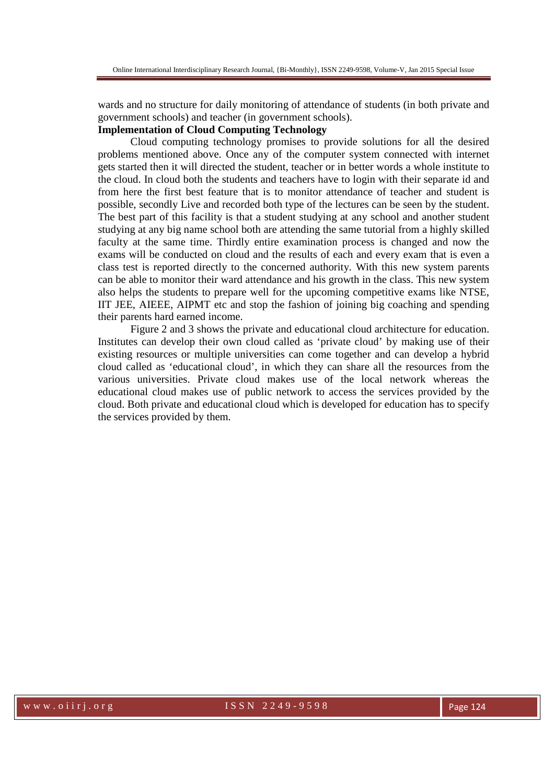wards and no structure for daily monitoring of attendance of students (in both private and government schools) and teacher (in government schools).

## **Implementation of Cloud Computing Technology**

Cloud computing technology promises to provide solutions for all the desired problems mentioned above. Once any of the computer system connected with internet gets started then it will directed the student, teacher or in better words a whole institute to the cloud. In cloud both the students and teachers have to login with their separate id and from here the first best feature that is to monitor attendance of teacher and student is possible, secondly Live and recorded both type of the lectures can be seen by the student. The best part of this facility is that a student studying at any school and another student studying at any big name school both are attending the same tutorial from a highly skilled faculty at the same time. Thirdly entire examination process is changed and now the exams will be conducted on cloud and the results of each and every exam that is even a class test is reported directly to the concerned authority. With this new system parents can be able to monitor their ward attendance and his growth in the class. This new system also helps the students to prepare well for the upcoming competitive exams like NTSE, IIT JEE, AIEEE, AIPMT etc and stop the fashion of joining big coaching and spending their parents hard earned income.

Figure 2 and 3 shows the private and educational cloud architecture for education. Institutes can develop their own cloud called as 'private cloud' by making use of their existing resources or multiple universities can come together and can develop a hybrid cloud called as 'educational cloud', in which they can share all the resources from the various universities. Private cloud makes use of the local network whereas the educational cloud makes use of public network to access the services provided by the cloud. Both private and educational cloud which is developed for education has to specify the services provided by them.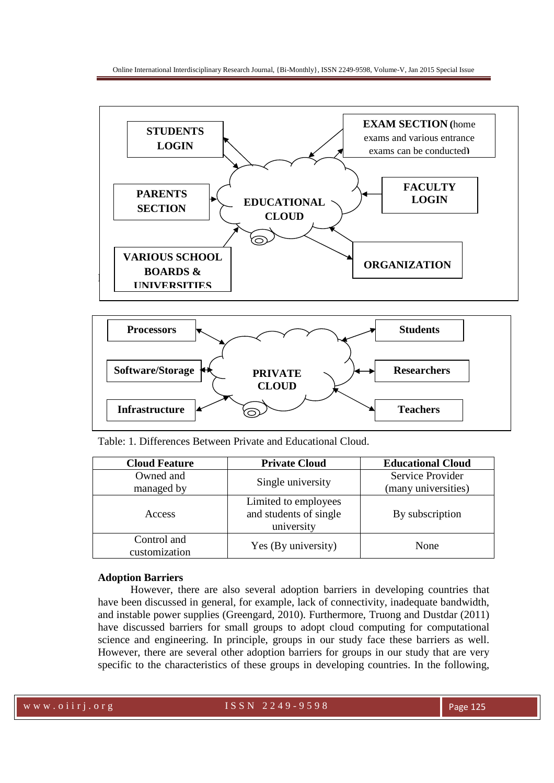



Table: 1. Differences Between Private and Educational Cloud.

| <b>Cloud Feature</b>         | <b>Private Cloud</b>                                         | <b>Educational Cloud</b> |  |
|------------------------------|--------------------------------------------------------------|--------------------------|--|
| Owned and                    |                                                              | Service Provider         |  |
| managed by                   | Single university                                            | (many universities)      |  |
| Access                       | Limited to employees<br>and students of single<br>university | By subscription          |  |
| Control and<br>customization | Yes (By university)                                          | None                     |  |

### **Adoption Barriers**

However, there are also several adoption barriers in developing countries that have been discussed in general, for example, lack of connectivity, inadequate bandwidth, and instable power supplies (Greengard, 2010). Furthermore, Truong and Dustdar (2011) have discussed barriers for small groups to adopt cloud computing for computational science and engineering. In principle, groups in our study face these barriers as well. However, there are several other adoption barriers for groups in our study that are very specific to the characteristics of these groups in developing countries. In the following,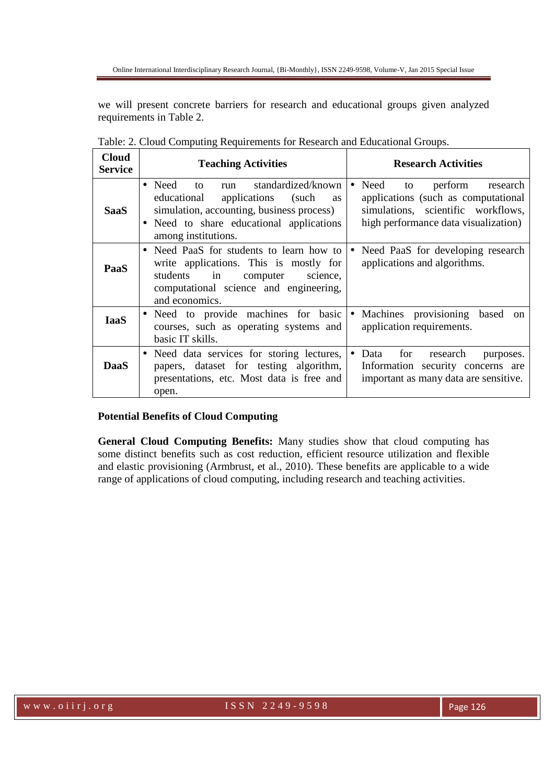we will present concrete barriers for research and educational groups given analyzed requirements in Table 2.

| <b>Cloud</b><br><b>Service</b> | <b>Teaching Activities</b>                                                                                                                                                                                       | <b>Research Activities</b>                                                                                                                                          |  |  |
|--------------------------------|------------------------------------------------------------------------------------------------------------------------------------------------------------------------------------------------------------------|---------------------------------------------------------------------------------------------------------------------------------------------------------------------|--|--|
| <b>SaaS</b>                    | standardized/known<br>$\bullet$ Need to<br>run<br>applications (such<br>educational<br><b>as</b><br>simulation, accounting, business process)<br>• Need to share educational applications<br>among institutions. | Need<br>perform<br>to<br>research<br>$\bullet$<br>applications (such as computational<br>simulations, scientific workflows,<br>high performance data visualization) |  |  |
| PaaS                           | • Need PaaS for students to learn how to<br>write applications. This is mostly for<br>students<br>in<br>computer<br>science,<br>computational science and engineering,<br>and economics.                         | Need PaaS for developing research<br>$\bullet$<br>applications and algorithms.                                                                                      |  |  |
| <b>IaaS</b>                    | • Need to provide machines for basic<br>courses, such as operating systems and<br>basic IT skills.                                                                                                               | Machines provisioning<br>based<br>$\bullet$<br>on<br>application requirements.                                                                                      |  |  |
| <b>DaaS</b>                    | • Need data services for storing lectures,<br>papers, dataset for testing algorithm,<br>presentations, etc. Most data is free and<br>open.                                                                       | Data<br>for<br>research<br>$\bullet$<br>purposes.<br>Information security concerns are<br>important as many data are sensitive.                                     |  |  |

Table: 2. Cloud Computing Requirements for Research and Educational Groups.

## **Potential Benefits of Cloud Computing**

**General Cloud Computing Benefits:** Many studies show that cloud computing has some distinct benefits such as cost reduction, efficient resource utilization and flexible and elastic provisioning (Armbrust, et al., 2010). These benefits are applicable to a wide range of applications of cloud computing, including research and teaching activities.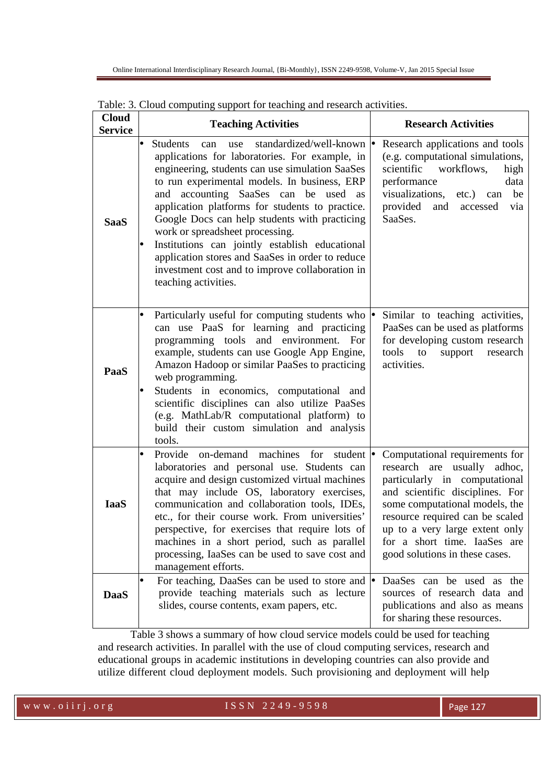| <b>Cloud</b><br><b>Service</b> | <b>Teaching Activities</b>                                                                                                                                                                                                                                                                                                                                                                                                                                                                                                                                                            | <b>Research Activities</b>                                                                                                                                                                                                                                                                                    |  |  |  |
|--------------------------------|---------------------------------------------------------------------------------------------------------------------------------------------------------------------------------------------------------------------------------------------------------------------------------------------------------------------------------------------------------------------------------------------------------------------------------------------------------------------------------------------------------------------------------------------------------------------------------------|---------------------------------------------------------------------------------------------------------------------------------------------------------------------------------------------------------------------------------------------------------------------------------------------------------------|--|--|--|
| <b>SaaS</b>                    | standardized/well-known •<br><b>Students</b><br>can<br>use<br>applications for laboratories. For example, in<br>engineering, students can use simulation SaaSes<br>to run experimental models. In business, ERP<br>accounting SaaSes can be used<br>and<br>as<br>application platforms for students to practice.<br>Google Docs can help students with practicing<br>work or spreadsheet processing.<br>Institutions can jointly establish educational<br>application stores and SaaSes in order to reduce<br>investment cost and to improve collaboration in<br>teaching activities. | Research applications and tools<br>(e.g. computational simulations,<br>scientific<br>workflows,<br>high<br>performance<br>data<br>visualizations,<br>be<br>etc.)<br>can<br>provided<br>and accessed<br>via<br>SaaSes.                                                                                         |  |  |  |
| PaaS                           | Particularly useful for computing students who $\bullet$<br>can use PaaS for learning and practicing<br>programming tools and environment. For<br>example, students can use Google App Engine,<br>Amazon Hadoop or similar PaaSes to practicing<br>web programming.<br>Students in economics, computational and<br>scientific disciplines can also utilize PaaSes<br>(e.g. MathLab/R computational platform) to<br>build their custom simulation and analysis<br>tools.                                                                                                               | Similar to teaching activities,<br>PaaSes can be used as platforms<br>for developing custom research<br>tools to<br>support<br>research<br>activities.                                                                                                                                                        |  |  |  |
| <b>IaaS</b>                    | Provide on-demand machines<br>for<br>student $\bullet$<br>laboratories and personal use. Students can<br>acquire and design customized virtual machines<br>that may include OS, laboratory exercises,<br>communication and collaboration tools, IDEs,<br>etc., for their course work. From universities'<br>perspective, for exercises that require lots of<br>machines in a short period, such as parallel<br>processing, IaaSes can be used to save cost and<br>management efforts.                                                                                                 | Computational requirements for<br>research are usually<br>adhoc,<br>particularly in computational<br>and scientific disciplines. For<br>some computational models, the<br>resource required can be scaled<br>up to a very large extent only<br>for a short time. IaaSes are<br>good solutions in these cases. |  |  |  |
| <b>DaaS</b>                    | For teaching, DaaSes can be used to store and $\bullet$<br>provide teaching materials such as lecture<br>slides, course contents, exam papers, etc.                                                                                                                                                                                                                                                                                                                                                                                                                                   | DaaSes can be used as the<br>sources of research data and<br>publications and also as means<br>for sharing these resources.                                                                                                                                                                                   |  |  |  |

Table: 3. Cloud computing support for teaching and research activities.

Table 3 shows a summary of how cloud service models could be used for teaching and research activities. In parallel with the use of cloud computing services, research and educational groups in academic institutions in developing countries can also provide and utilize different cloud deployment models. Such provisioning and deployment will help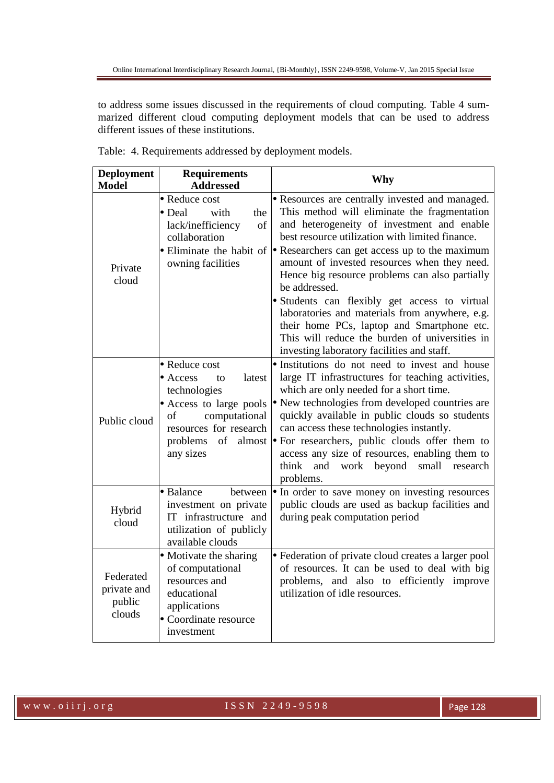to address some issues discussed in the requirements of cloud computing. Table 4 summarized different cloud computing deployment models that can be used to address different issues of these institutions.

| <b>Deployment</b><br><b>Model</b>            | <b>Requirements</b><br><b>Addressed</b>                                                                                                                                              | Why                                                                                                                                                                                                                                                                                                                                                                                                                                                                                                                                                                                                                                                   |
|----------------------------------------------|--------------------------------------------------------------------------------------------------------------------------------------------------------------------------------------|-------------------------------------------------------------------------------------------------------------------------------------------------------------------------------------------------------------------------------------------------------------------------------------------------------------------------------------------------------------------------------------------------------------------------------------------------------------------------------------------------------------------------------------------------------------------------------------------------------------------------------------------------------|
| Private<br>cloud                             | Reduce cost<br>Deal<br>with<br>the<br>lack/inefficiency<br>of<br>collaboration<br>owning facilities                                                                                  | • Resources are centrally invested and managed.<br>This method will eliminate the fragmentation<br>and heterogeneity of investment and enable<br>best resource utilization with limited finance.<br>Eliminate the habit of $\bullet$ Researchers can get access up to the maximum<br>amount of invested resources when they need.<br>Hence big resource problems can also partially<br>be addressed.<br>· Students can flexibly get access to virtual<br>laboratories and materials from anywhere, e.g.<br>their home PCs, laptop and Smartphone etc.<br>This will reduce the burden of universities in<br>investing laboratory facilities and staff. |
| Public cloud                                 | • Reduce cost<br>latest<br>Access<br>to<br>technologies<br>Access to large pools<br>computational<br>of<br>resources for research<br>problems<br>of<br>almost $\bullet$<br>any sizes | · Institutions do not need to invest and house<br>large IT infrastructures for teaching activities,<br>which are only needed for a short time.<br>New technologies from developed countries are<br>quickly available in public clouds so students<br>can access these technologies instantly.<br>For researchers, public clouds offer them to<br>access any size of resources, enabling them to<br>think<br>and<br>work beyond small research<br>problems.                                                                                                                                                                                            |
| Hybrid<br>cloud                              | Balance<br>between<br>investment on private<br>IT infrastructure and<br>utilization of publicly<br>available clouds                                                                  | • In order to save money on investing resources<br>public clouds are used as backup facilities and<br>during peak computation period                                                                                                                                                                                                                                                                                                                                                                                                                                                                                                                  |
| Federated<br>private and<br>public<br>clouds | Motivate the sharing<br>of computational<br>resources and<br>educational<br>applications<br>Coordinate resource<br>investment                                                        | • Federation of private cloud creates a larger pool<br>of resources. It can be used to deal with big<br>problems, and also to efficiently improve<br>utilization of idle resources.                                                                                                                                                                                                                                                                                                                                                                                                                                                                   |

|  |  |  |  |  |  | Table: 4. Requirements addressed by deployment models. |
|--|--|--|--|--|--|--------------------------------------------------------|
|--|--|--|--|--|--|--------------------------------------------------------|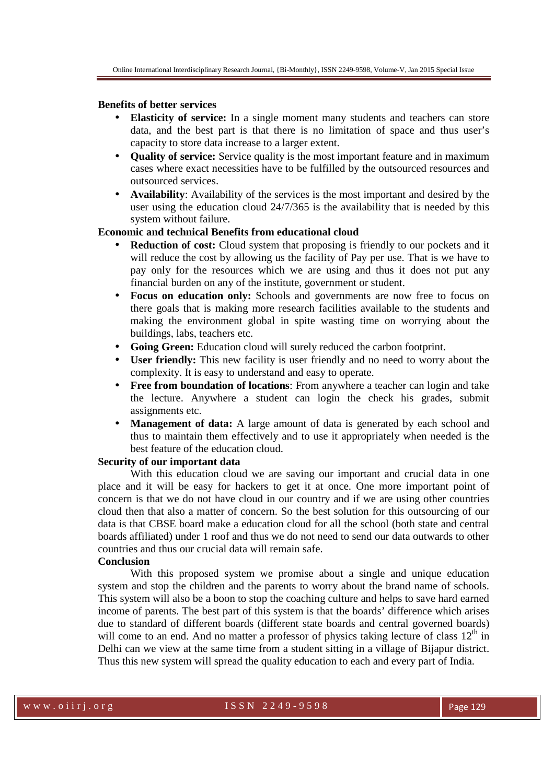## **Benefits of better services**

- **Elasticity of service:** In a single moment many students and teachers can store data, and the best part is that there is no limitation of space and thus user's capacity to store data increase to a larger extent.
- **Quality of service:** Service quality is the most important feature and in maximum cases where exact necessities have to be fulfilled by the outsourced resources and outsourced services.
- **Availability**: Availability of the services is the most important and desired by the user using the education cloud 24/7/365 is the availability that is needed by this system without failure.

## **Economic and technical Benefits from educational cloud**

- **Reduction of cost:** Cloud system that proposing is friendly to our pockets and it will reduce the cost by allowing us the facility of Pay per use. That is we have to pay only for the resources which we are using and thus it does not put any financial burden on any of the institute, government or student.
- **Focus on education only:** Schools and governments are now free to focus on there goals that is making more research facilities available to the students and making the environment global in spite wasting time on worrying about the buildings, labs, teachers etc.
- **Going Green:** Education cloud will surely reduced the carbon footprint.
- **User friendly:** This new facility is user friendly and no need to worry about the complexity. It is easy to understand and easy to operate.
- **Free from boundation of locations**: From anywhere a teacher can login and take the lecture. Anywhere a student can login the check his grades, submit assignments etc.
- **Management of data:** A large amount of data is generated by each school and thus to maintain them effectively and to use it appropriately when needed is the best feature of the education cloud.

### **Security of our important data**

With this education cloud we are saving our important and crucial data in one place and it will be easy for hackers to get it at once. One more important point of concern is that we do not have cloud in our country and if we are using other countries cloud then that also a matter of concern. So the best solution for this outsourcing of our data is that CBSE board make a education cloud for all the school (both state and central boards affiliated) under 1 roof and thus we do not need to send our data outwards to other countries and thus our crucial data will remain safe.

### **Conclusion**

With this proposed system we promise about a single and unique education system and stop the children and the parents to worry about the brand name of schools. This system will also be a boon to stop the coaching culture and helps to save hard earned income of parents. The best part of this system is that the boards' difference which arises due to standard of different boards (different state boards and central governed boards) will come to an end. And no matter a professor of physics taking lecture of class  $12<sup>th</sup>$  in Delhi can we view at the same time from a student sitting in a village of Bijapur district. Thus this new system will spread the quality education to each and every part of India.